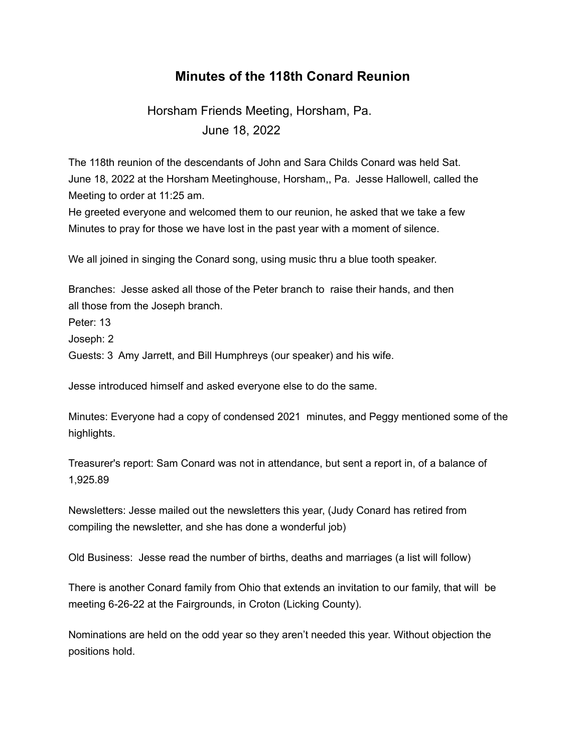## **Minutes of the 118th Conard Reunion**

## Horsham Friends Meeting, Horsham, Pa. June 18, 2022

The 118th reunion of the descendants of John and Sara Childs Conard was held Sat. June 18, 2022 at the Horsham Meetinghouse, Horsham,, Pa. Jesse Hallowell, called the Meeting to order at 11:25 am.

He greeted everyone and welcomed them to our reunion, he asked that we take a few Minutes to pray for those we have lost in the past year with a moment of silence.

We all joined in singing the Conard song, using music thru a blue tooth speaker.

Branches: Jesse asked all those of the Peter branch to raise their hands, and then all those from the Joseph branch.

Peter: 13

Joseph: 2

Guests: 3 Amy Jarrett, and Bill Humphreys (our speaker) and his wife.

Jesse introduced himself and asked everyone else to do the same.

Minutes: Everyone had a copy of condensed 2021 minutes, and Peggy mentioned some of the highlights.

Treasurer's report: Sam Conard was not in attendance, but sent a report in, of a balance of 1,925.89

Newsletters: Jesse mailed out the newsletters this year, (Judy Conard has retired from compiling the newsletter, and she has done a wonderful job)

Old Business: Jesse read the number of births, deaths and marriages (a list will follow)

There is another Conard family from Ohio that extends an invitation to our family, that will be meeting 6-26-22 at the Fairgrounds, in Croton (Licking County).

Nominations are held on the odd year so they aren't needed this year. Without objection the positions hold.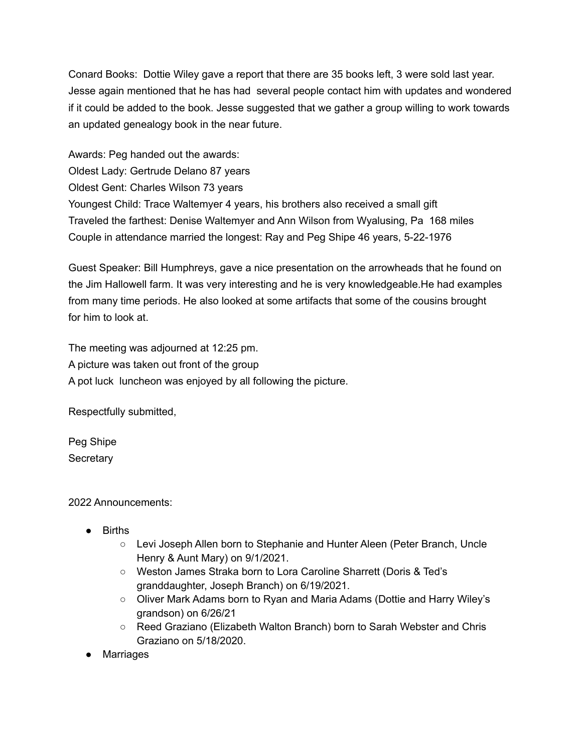Conard Books: Dottie Wiley gave a report that there are 35 books left, 3 were sold last year. Jesse again mentioned that he has had several people contact him with updates and wondered if it could be added to the book. Jesse suggested that we gather a group willing to work towards an updated genealogy book in the near future.

Awards: Peg handed out the awards: Oldest Lady: Gertrude Delano 87 years Oldest Gent: Charles Wilson 73 years Youngest Child: Trace Waltemyer 4 years, his brothers also received a small gift Traveled the farthest: Denise Waltemyer and Ann Wilson from Wyalusing, Pa 168 miles Couple in attendance married the longest: Ray and Peg Shipe 46 years, 5-22-1976

Guest Speaker: Bill Humphreys, gave a nice presentation on the arrowheads that he found on the Jim Hallowell farm. It was very interesting and he is very knowledgeable.He had examples from many time periods. He also looked at some artifacts that some of the cousins brought for him to look at.

The meeting was adjourned at 12:25 pm. A picture was taken out front of the group A pot luck luncheon was enjoyed by all following the picture.

Respectfully submitted,

Peg Shipe **Secretary** 

2022 Announcements:

- Births
	- Levi Joseph Allen born to Stephanie and Hunter Aleen (Peter Branch, Uncle Henry & Aunt Mary) on 9/1/2021.
	- Weston James Straka born to Lora Caroline Sharrett (Doris & Ted's granddaughter, Joseph Branch) on 6/19/2021.
	- Oliver Mark Adams born to Ryan and Maria Adams (Dottie and Harry Wiley's grandson) on 6/26/21
	- Reed Graziano (Elizabeth Walton Branch) born to Sarah Webster and Chris Graziano on 5/18/2020.
- Marriages